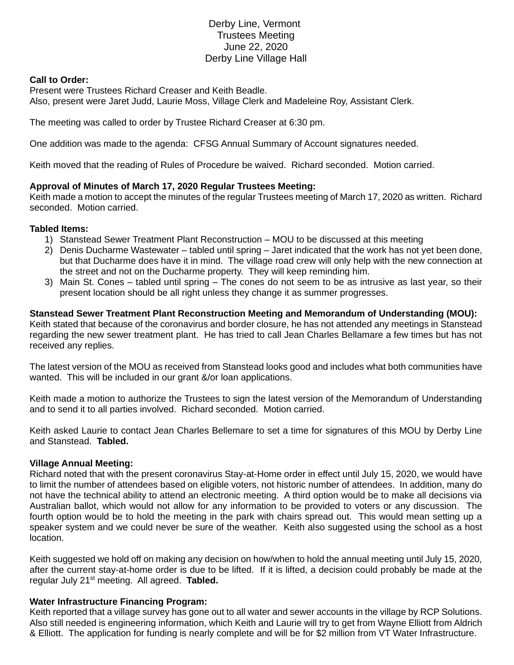# Derby Line, Vermont Trustees Meeting June 22, 2020 Derby Line Village Hall

#### **Call to Order:**

Present were Trustees Richard Creaser and Keith Beadle. Also, present were Jaret Judd, Laurie Moss, Village Clerk and Madeleine Roy, Assistant Clerk.

The meeting was called to order by Trustee Richard Creaser at 6:30 pm.

One addition was made to the agenda: CFSG Annual Summary of Account signatures needed.

Keith moved that the reading of Rules of Procedure be waived. Richard seconded. Motion carried.

### **Approval of Minutes of March 17, 2020 Regular Trustees Meeting:**

Keith made a motion to accept the minutes of the regular Trustees meeting of March 17, 2020 as written. Richard seconded. Motion carried.

### **Tabled Items:**

- 1) Stanstead Sewer Treatment Plant Reconstruction MOU to be discussed at this meeting
- 2) Denis Ducharme Wastewater tabled until spring Jaret indicated that the work has not yet been done, but that Ducharme does have it in mind. The village road crew will only help with the new connection at the street and not on the Ducharme property. They will keep reminding him.
- 3) Main St. Cones tabled until spring The cones do not seem to be as intrusive as last year, so their present location should be all right unless they change it as summer progresses.

**Stanstead Sewer Treatment Plant Reconstruction Meeting and Memorandum of Understanding (MOU):** Keith stated that because of the coronavirus and border closure, he has not attended any meetings in Stanstead regarding the new sewer treatment plant. He has tried to call Jean Charles Bellamare a few times but has not received any replies.

The latest version of the MOU as received from Stanstead looks good and includes what both communities have wanted. This will be included in our grant &/or loan applications.

Keith made a motion to authorize the Trustees to sign the latest version of the Memorandum of Understanding and to send it to all parties involved. Richard seconded. Motion carried.

Keith asked Laurie to contact Jean Charles Bellemare to set a time for signatures of this MOU by Derby Line and Stanstead. **Tabled.**

#### **Village Annual Meeting:**

Richard noted that with the present coronavirus Stay-at-Home order in effect until July 15, 2020, we would have to limit the number of attendees based on eligible voters, not historic number of attendees. In addition, many do not have the technical ability to attend an electronic meeting. A third option would be to make all decisions via Australian ballot, which would not allow for any information to be provided to voters or any discussion. The fourth option would be to hold the meeting in the park with chairs spread out. This would mean setting up a speaker system and we could never be sure of the weather. Keith also suggested using the school as a host location.

Keith suggested we hold off on making any decision on how/when to hold the annual meeting until July 15, 2020, after the current stay-at-home order is due to be lifted. If it is lifted, a decision could probably be made at the regular July 21st meeting. All agreed. **Tabled.**

#### **Water Infrastructure Financing Program:**

Keith reported that a village survey has gone out to all water and sewer accounts in the village by RCP Solutions. Also still needed is engineering information, which Keith and Laurie will try to get from Wayne Elliott from Aldrich & Elliott. The application for funding is nearly complete and will be for \$2 million from VT Water Infrastructure.